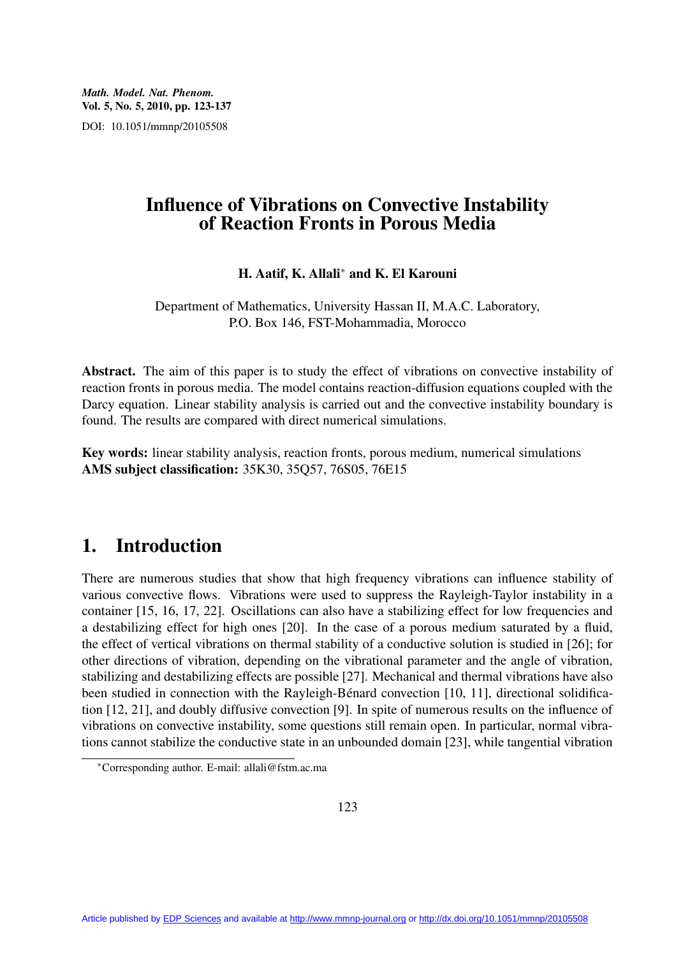*Math. Model. Nat. Phenom.* **Vol. 5, No. 5, 2010, pp. 123-137** DOI: 10.1051/mmnp/20105508

## **Influence of Vibrations on Convective Instability of Reaction Fronts in Porous Media**

**H. Aatif, K. Allali**<sup>∗</sup> **and K. El Karouni**

Department of Mathematics, University Hassan II, M.A.C. Laboratory, P.O. Box 146, FST-Mohammadia, Morocco

**Abstract.** The aim of this paper is to study the effect of vibrations on convective instability of reaction fronts in porous media. The model contains reaction-diffusion equations coupled with the Darcy equation. Linear stability analysis is carried out and the convective instability boundary is found. The results are compared with direct numerical simulations.

**Key words:** linear stability analysis, reaction fronts, porous medium, numerical simulations **AMS subject classification:** 35K30, 35Q57, 76S05, 76E15

# **1. Introduction**

There are numerous studies that show that high frequency vibrations can influence stability of various convective flows. Vibrations were used to suppress the Rayleigh-Taylor instability in a container [15, 16, 17, 22]. Oscillations can also have a stabilizing effect for low frequencies and a destabilizing effect for high ones [20]. In the case of a porous medium saturated by a fluid, the effect of vertical vibrations on thermal stability of a conductive solution is studied in [26]; for other directions of vibration, depending on the vibrational parameter and the angle of vibration, stabilizing and destabilizing effects are possible [27]. Mechanical and thermal vibrations have also been studied in connection with the Rayleigh-Bénard convection [10, 11], directional solidification [12, 21], and doubly diffusive convection [9]. In spite of numerous results on the influence of vibrations on convective instability, some questions still remain open. In particular, normal vibrations cannot stabilize the conductive state in an unbounded domain [23], while tangential vibration

<sup>∗</sup>Corresponding author. E-mail: allali@fstm.ac.ma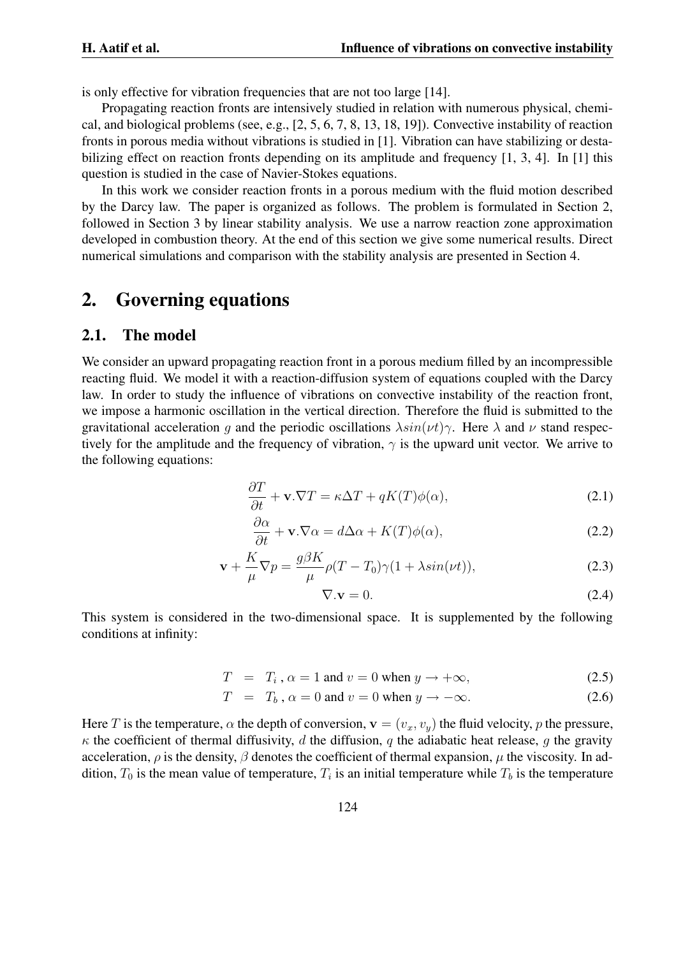is only effective for vibration frequencies that are not too large [14].

Propagating reaction fronts are intensively studied in relation with numerous physical, chemical, and biological problems (see, e.g., [2, 5, 6, 7, 8, 13, 18, 19]). Convective instability of reaction fronts in porous media without vibrations is studied in [1]. Vibration can have stabilizing or destabilizing effect on reaction fronts depending on its amplitude and frequency [1, 3, 4]. In [1] this question is studied in the case of Navier-Stokes equations.

In this work we consider reaction fronts in a porous medium with the fluid motion described by the Darcy law. The paper is organized as follows. The problem is formulated in Section 2, followed in Section 3 by linear stability analysis. We use a narrow reaction zone approximation developed in combustion theory. At the end of this section we give some numerical results. Direct numerical simulations and comparison with the stability analysis are presented in Section 4.

## **2. Governing equations**

### **2.1. The model**

We consider an upward propagating reaction front in a porous medium filled by an incompressible reacting fluid. We model it with a reaction-diffusion system of equations coupled with the Darcy law. In order to study the influence of vibrations on convective instability of the reaction front, we impose a harmonic oscillation in the vertical direction. Therefore the fluid is submitted to the gravitational acceleration q and the periodic oscillations  $\lambda sin(\nu t)\gamma$ . Here  $\lambda$  and  $\nu$  stand respectively for the amplitude and the frequency of vibration,  $\gamma$  is the upward unit vector. We arrive to the following equations:

$$
\frac{\partial T}{\partial t} + \mathbf{v}.\nabla T = \kappa \Delta T + qK(T)\phi(\alpha),\tag{2.1}
$$

$$
\frac{\partial \alpha}{\partial t} + \mathbf{v}.\nabla \alpha = d\Delta \alpha + K(T)\phi(\alpha),\tag{2.2}
$$

$$
\mathbf{v} + \frac{K}{\mu} \nabla p = \frac{g\beta K}{\mu} \rho (T - T_0) \gamma (1 + \lambda \sin(\nu t)),
$$
\n(2.3)

$$
\nabla \mathbf{v} = 0. \tag{2.4}
$$

This system is considered in the two-dimensional space. It is supplemented by the following conditions at infinity:

$$
T = T_i, \alpha = 1 \text{ and } v = 0 \text{ when } y \to +\infty,
$$
 (2.5)

$$
T = T_b, \alpha = 0 \text{ and } v = 0 \text{ when } y \to -\infty. \tag{2.6}
$$

Here T is the temperature,  $\alpha$  the depth of conversion,  $\mathbf{v} = (v_x, v_y)$  the fluid velocity, p the pressure,  $\kappa$  the coefficient of thermal diffusivity, d the diffusion, q the adiabatic heat release, q the gravity acceleration,  $\rho$  is the density,  $\beta$  denotes the coefficient of thermal expansion,  $\mu$  the viscosity. In addition,  $T_0$  is the mean value of temperature,  $T_i$  is an initial temperature while  $T_b$  is the temperature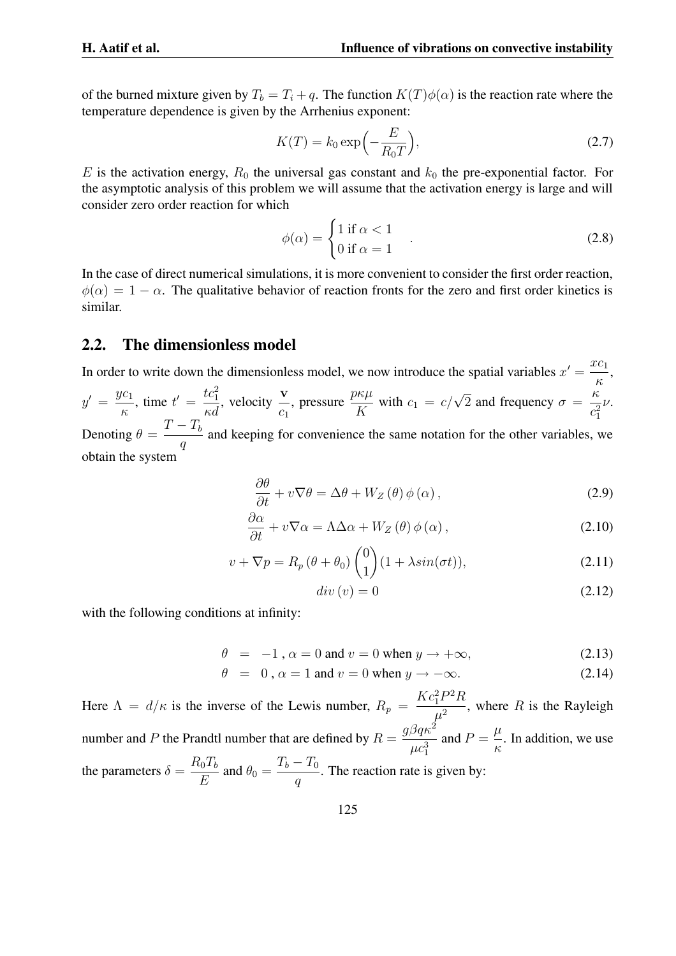of the burned mixture given by  $T_b = T_i + q$ . The function  $K(T)\phi(\alpha)$  is the reaction rate where the temperature dependence is given by the Arrhenius exponent:

$$
K(T) = k_0 \exp\left(-\frac{E}{R_0 T}\right),\tag{2.7}
$$

E is the activation energy,  $R_0$  the universal gas constant and  $k_0$  the pre-exponential factor. For the asymptotic analysis of this problem we will assume that the activation energy is large and will consider zero order reaction for which

$$
\phi(\alpha) = \begin{cases} 1 \text{ if } \alpha < 1 \\ 0 \text{ if } \alpha = 1 \end{cases} \tag{2.8}
$$

In the case of direct numerical simulations, it is more convenient to consider the first order reaction,  $\phi(\alpha) = 1 - \alpha$ . The qualitative behavior of reaction fronts for the zero and first order kinetics is similar.

### **2.2. The dimensionless model**

In order to write down the dimensionless model, we now introduce the spatial variables  $x' = \frac{x c_1}{x}$ κ ,  $y' = \frac{y c_1}{x}$ κ , time  $t' = \frac{tc_1^2}{l}$  $\frac{tc_1^2}{\kappa d}$ , velocity  $\frac{\mathbf{v}}{c_1}$ , pressure  $\frac{p\kappa\mu}{V}$  $\frac{\partial \kappa \mu}{\partial K}$  with  $c_1 = c/\sqrt{2}$  and frequency  $\sigma = \frac{\kappa}{c_1^2}$  $c_1^2$ ν. Denoting  $\theta = \frac{T - T_b}{T}$ 

q and keeping for convenience the same notation for the other variables, we obtain the system

$$
\frac{\partial \theta}{\partial t} + v \nabla \theta = \Delta \theta + W_Z(\theta) \phi(\alpha), \qquad (2.9)
$$

$$
\frac{\partial \alpha}{\partial t} + v \nabla \alpha = \Lambda \Delta \alpha + W_Z(\theta) \phi(\alpha), \qquad (2.10)
$$

$$
v + \nabla p = R_p \left(\theta + \theta_0\right) \begin{pmatrix} 0 \\ 1 \end{pmatrix} (1 + \lambda \sin(\sigma t)), \tag{2.11}
$$

$$
div(v) = 0 \tag{2.12}
$$

with the following conditions at infinity:

$$
\theta = -1, \alpha = 0 \text{ and } v = 0 \text{ when } y \to +\infty,
$$
 (2.13)

$$
\theta = 0, \alpha = 1 \text{ and } v = 0 \text{ when } y \to -\infty. \tag{2.14}
$$

Here  $\Lambda = d/\kappa$  is the inverse of the Lewis number,  $R_p = \frac{Kc_1^2 P^2 R}{r^2}$  $\frac{1}{\mu^2}$ , where R is the Rayleigh number and P the Prandtl number that are defined by  $R = \frac{g \beta q \kappa^2}{3}$  $\mu c_1^3$ and  $P = \frac{\mu}{\sigma}$ κ . In addition, we use the parameters  $\delta = \frac{R_0 T_b}{F}$  $\frac{C_0 T_b}{E}$  and  $\theta_0 = \frac{T_b - T_0}{q}$ q . The reaction rate is given by: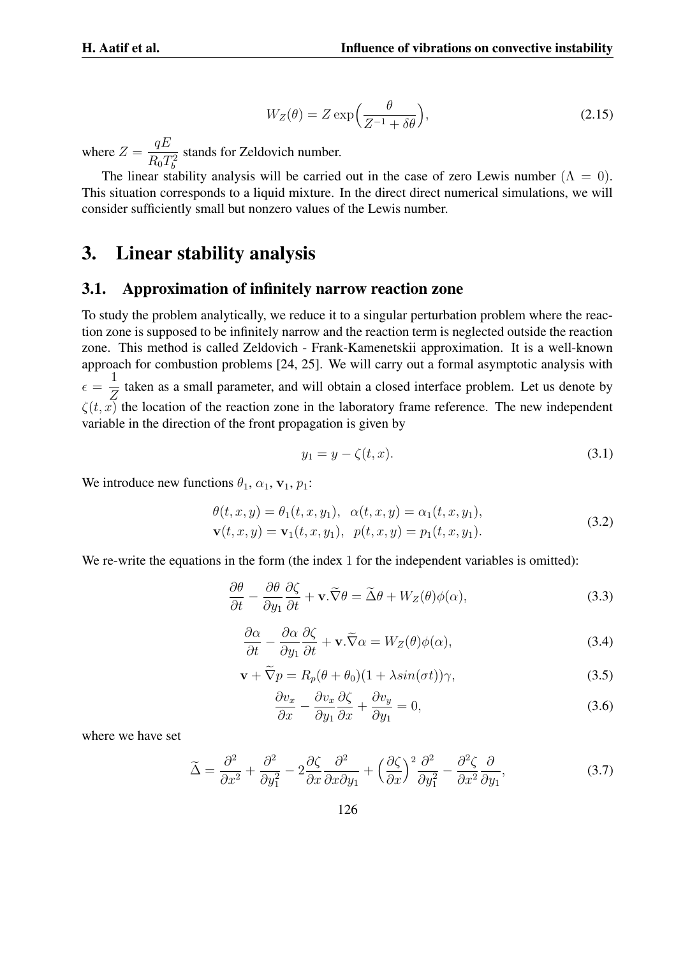$$
W_Z(\theta) = Z \exp\left(\frac{\theta}{Z^{-1} + \delta\theta}\right),\tag{2.15}
$$

where  $Z = \frac{qE}{R}$  $R_0T_b^2$ stands for Zeldovich number.

The linear stability analysis will be carried out in the case of zero Lewis number ( $\Lambda = 0$ ). This situation corresponds to a liquid mixture. In the direct direct numerical simulations, we will consider sufficiently small but nonzero values of the Lewis number.

## **3. Linear stability analysis**

#### **3.1. Approximation of infinitely narrow reaction zone**

To study the problem analytically, we reduce it to a singular perturbation problem where the reaction zone is supposed to be infinitely narrow and the reaction term is neglected outside the reaction zone. This method is called Zeldovich - Frank-Kamenetskii approximation. It is a well-known approach for combustion problems [24, 25]. We will carry out a formal asymptotic analysis with  $\epsilon =$ 1 Z taken as a small parameter, and will obtain a closed interface problem. Let us denote by  $\zeta(t, x)$  the location of the reaction zone in the laboratory frame reference. The new independent variable in the direction of the front propagation is given by

$$
y_1 = y - \zeta(t, x). \tag{3.1}
$$

We introduce new functions  $\theta_1$ ,  $\alpha_1$ ,  $\mathbf{v}_1$ ,  $p_1$ :

$$
\theta(t, x, y) = \theta_1(t, x, y_1), \ \alpha(t, x, y) = \alpha_1(t, x, y_1), \n\mathbf{v}(t, x, y) = \mathbf{v}_1(t, x, y_1), \ \ p(t, x, y) = p_1(t, x, y_1).
$$
\n(3.2)

We re-write the equations in the form (the index 1 for the independent variables is omitted):

$$
\frac{\partial \theta}{\partial t} - \frac{\partial \theta}{\partial y_1} \frac{\partial \zeta}{\partial t} + \mathbf{v} \cdot \widetilde{\nabla} \theta = \widetilde{\Delta} \theta + W_Z(\theta) \phi(\alpha), \tag{3.3}
$$

$$
\frac{\partial \alpha}{\partial t} - \frac{\partial \alpha}{\partial y_1} \frac{\partial \zeta}{\partial t} + \mathbf{v} . \widetilde{\nabla} \alpha = W_Z(\theta) \phi(\alpha), \tag{3.4}
$$

$$
\mathbf{v} + \widetilde{\nabla} p = R_p(\theta + \theta_0)(1 + \lambda \sin(\sigma t))\gamma,
$$
\n(3.5)

$$
\frac{\partial v_x}{\partial x} - \frac{\partial v_x}{\partial y_1} \frac{\partial \zeta}{\partial x} + \frac{\partial v_y}{\partial y_1} = 0,
$$
\n(3.6)

where we have set

$$
\widetilde{\Delta} = \frac{\partial^2}{\partial x^2} + \frac{\partial^2}{\partial y_1^2} - 2\frac{\partial \zeta}{\partial x}\frac{\partial^2}{\partial x \partial y_1} + \left(\frac{\partial \zeta}{\partial x}\right)^2 \frac{\partial^2}{\partial y_1^2} - \frac{\partial^2 \zeta}{\partial x^2}\frac{\partial}{\partial y_1},\tag{3.7}
$$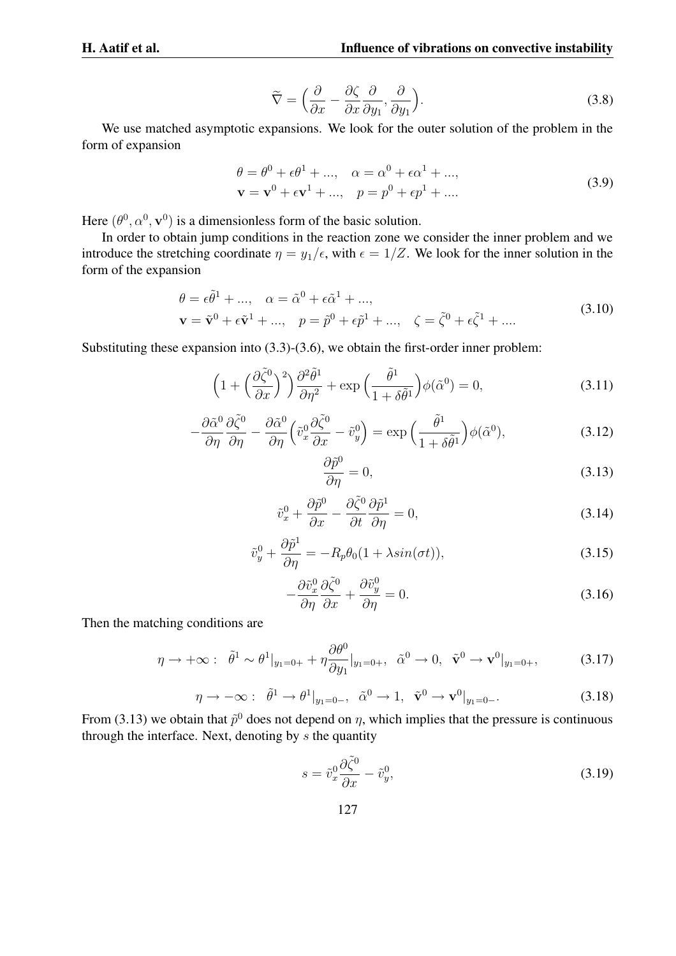$$
\widetilde{\nabla} = \left( \frac{\partial}{\partial x} - \frac{\partial \zeta}{\partial x} \frac{\partial}{\partial y_1}, \frac{\partial}{\partial y_1} \right). \tag{3.8}
$$

We use matched asymptotic expansions. We look for the outer solution of the problem in the form of expansion

$$
\theta = \theta^{0} + \epsilon \theta^{1} + ..., \quad \alpha = \alpha^{0} + \epsilon \alpha^{1} + ..., \mathbf{v} = \mathbf{v}^{0} + \epsilon \mathbf{v}^{1} + ..., \quad p = p^{0} + \epsilon p^{1} + ....
$$
\n(3.9)

Here  $(\theta^0, \alpha^0, \mathbf{v}^0)$  is a dimensionless form of the basic solution.

In order to obtain jump conditions in the reaction zone we consider the inner problem and we introduce the stretching coordinate  $\eta = y_1/\epsilon$ , with  $\epsilon = 1/Z$ . We look for the inner solution in the form of the expansion

$$
\theta = \epsilon \tilde{\theta}^{1} + ..., \quad \alpha = \tilde{\alpha}^{0} + \epsilon \tilde{\alpha}^{1} + ..., \mathbf{v} = \tilde{\mathbf{v}}^{0} + \epsilon \tilde{\mathbf{v}}^{1} + ..., \quad p = \tilde{p}^{0} + \epsilon \tilde{p}^{1} + ..., \quad \zeta = \tilde{\zeta}^{0} + \epsilon \tilde{\zeta}^{1} + ....
$$
\n(3.10)

Substituting these expansion into (3.3)-(3.6), we obtain the first-order inner problem:

$$
\left(1 + \left(\frac{\partial \tilde{\zeta}^0}{\partial x}\right)^2\right) \frac{\partial^2 \tilde{\theta}^1}{\partial \eta^2} + \exp\left(\frac{\tilde{\theta}^1}{1 + \delta \tilde{\theta}^1}\right) \phi(\tilde{\alpha}^0) = 0,\tag{3.11}
$$

$$
-\frac{\partial \tilde{\alpha}^0}{\partial \eta} \frac{\partial \tilde{\zeta}^0}{\partial \eta} - \frac{\partial \tilde{\alpha}^0}{\partial \eta} \left( \tilde{v}_x^0 \frac{\partial \tilde{\zeta}^0}{\partial x} - \tilde{v}_y^0 \right) = \exp\left( \frac{\tilde{\theta}^1}{1 + \delta \tilde{\theta}^1} \right) \phi(\tilde{\alpha}^0),\tag{3.12}
$$

$$
\frac{\partial \tilde{p}^0}{\partial \eta} = 0,\tag{3.13}
$$

$$
\tilde{v}_x^0 + \frac{\partial \tilde{p}^0}{\partial x} - \frac{\partial \tilde{\zeta}^0}{\partial t} \frac{\partial \tilde{p}^1}{\partial \eta} = 0,
$$
\n(3.14)

$$
\tilde{v}_y^0 + \frac{\partial \tilde{p}^1}{\partial \eta} = -R_p \theta_0 (1 + \lambda \sin(\sigma t)),\tag{3.15}
$$

$$
-\frac{\partial \tilde{v}_x^0}{\partial \eta} \frac{\partial \tilde{\zeta}^0}{\partial x} + \frac{\partial \tilde{v}_y^0}{\partial \eta} = 0.
$$
 (3.16)

Then the matching conditions are

$$
\eta \to +\infty: \quad \tilde{\theta}^1 \sim \theta^1|_{y_1=0+} + \eta \frac{\partial \theta^0}{\partial y_1}|_{y_1=0+}, \quad \tilde{\alpha}^0 \to 0, \quad \tilde{\mathbf{v}}^0 \to \mathbf{v}^0|_{y_1=0+}, \tag{3.17}
$$

$$
\eta \to -\infty: \quad \tilde{\theta}^1 \to \theta^1|_{y_1=0-}, \quad \tilde{\alpha}^0 \to 1, \quad \tilde{\mathbf{v}}^0 \to \mathbf{v}^0|_{y_1=0-}.\tag{3.18}
$$

From (3.13) we obtain that  $\tilde{p}^0$  does not depend on  $\eta$ , which implies that the pressure is continuous through the interface. Next, denoting by  $s$  the quantity

$$
s = \tilde{v}_x^0 \frac{\partial \tilde{\zeta}^0}{\partial x} - \tilde{v}_y^0,\tag{3.19}
$$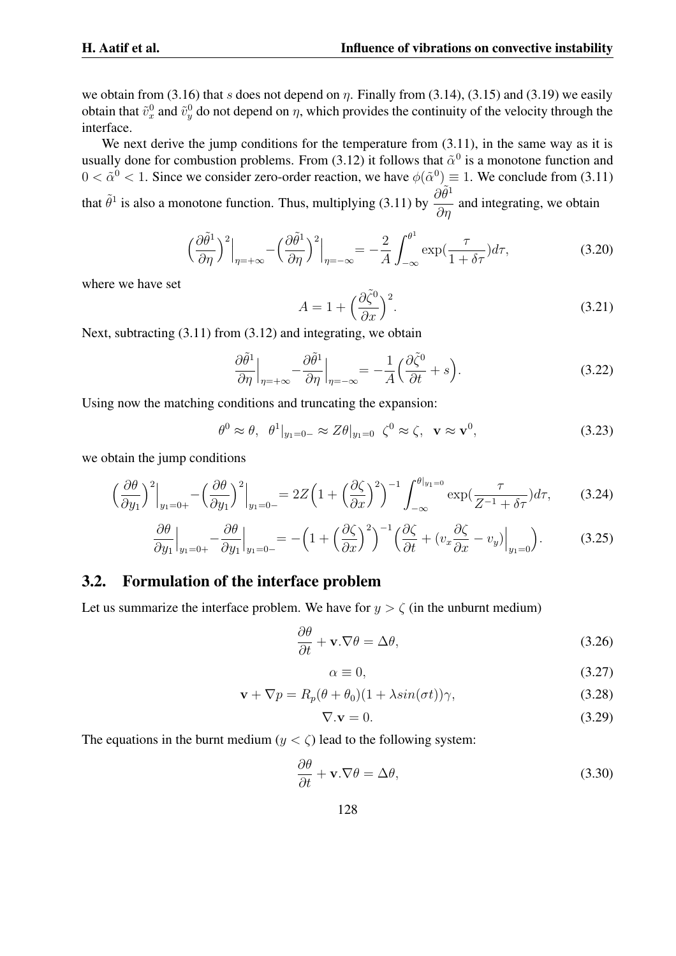we obtain from (3.16) that s does not depend on  $\eta$ . Finally from (3.14), (3.15) and (3.19) we easily obtain that  $\tilde{v}_x^0$  and  $\tilde{v}_y^0$  do not depend on  $\eta$ , which provides the continuity of the velocity through the interface.

We next derive the jump conditions for the temperature from  $(3.11)$ , in the same way as it is usually done for combustion problems. From (3.12) it follows that  $\tilde{\alpha}^0$  is a monotone function and  $0 < \tilde{\alpha}^0 < 1$ . Since we consider zero-order reaction, we have  $\phi(\tilde{\alpha}^0) \equiv 1$ . We conclude from (3.11) that  $\tilde{\theta}^1$  is also a monotone function. Thus, multiplying (3.11) by  $\frac{\partial \tilde{\theta}^1}{\partial \theta}$ ∂η and integrating, we obtain

$$
\left. \left( \frac{\partial \tilde{\theta}^1}{\partial \eta} \right)^2 \Big|_{\eta = +\infty} - \left( \frac{\partial \tilde{\theta}^1}{\partial \eta} \right)^2 \Big|_{\eta = -\infty} = -\frac{2}{A} \int_{-\infty}^{\theta^1} \exp\left( \frac{\tau}{1 + \delta \tau} \right) d\tau, \tag{3.20}
$$

where we have set

$$
A = 1 + \left(\frac{\partial \tilde{\zeta}^0}{\partial x}\right)^2.
$$
\n(3.21)

Next, subtracting (3.11) from (3.12) and integrating, we obtain

$$
\frac{\partial \tilde{\theta}^1}{\partial \eta}\Big|_{\eta = +\infty} - \frac{\partial \tilde{\theta}^1}{\partial \eta}\Big|_{\eta = -\infty} = -\frac{1}{A} \Big(\frac{\partial \tilde{\zeta}^0}{\partial t} + s\Big). \tag{3.22}
$$

Using now the matching conditions and truncating the expansion:

$$
\theta^0 \approx \theta, \quad \theta^1|_{y_1=0-} \approx Z\theta|_{y_1=0} \quad \zeta^0 \approx \zeta, \quad \mathbf{v} \approx \mathbf{v}^0,\tag{3.23}
$$

we obtain the jump conditions

$$
\left. \left(\frac{\partial \theta}{\partial y_1}\right)^2 \Big|_{y_1 = 0+} - \left(\frac{\partial \theta}{\partial y_1}\right)^2 \Big|_{y_1 = 0-} = 2Z \left(1 + \left(\frac{\partial \zeta}{\partial x}\right)^2\right)^{-1} \int_{-\infty}^{\theta|_{y_1 = 0}} \exp\left(\frac{\tau}{Z^{-1} + \delta\tau}\right) d\tau, \tag{3.24}
$$

$$
\frac{\partial \theta}{\partial y_1}\Big|_{y_1=0+} - \frac{\partial \theta}{\partial y_1}\Big|_{y_1=0-} = -\left(1 + \left(\frac{\partial \zeta}{\partial x}\right)^2\right)^{-1} \left(\frac{\partial \zeta}{\partial t} + \left(v_x \frac{\partial \zeta}{\partial x} - v_y\right)\Big|_{y_1=0}\right). \tag{3.25}
$$

### **3.2. Formulation of the interface problem**

Let us summarize the interface problem. We have for  $y > \zeta$  (in the unburnt medium)

$$
\frac{\partial \theta}{\partial t} + \mathbf{v}.\nabla \theta = \Delta \theta, \tag{3.26}
$$

$$
\alpha \equiv 0,\tag{3.27}
$$

$$
\mathbf{v} + \nabla p = R_p(\theta + \theta_0)(1 + \lambda \sin(\sigma t))\gamma,
$$
\n(3.28)

$$
\nabla \mathbf{.} \mathbf{v} = 0. \tag{3.29}
$$

The equations in the burnt medium ( $y < \zeta$ ) lead to the following system:

$$
\frac{\partial \theta}{\partial t} + \mathbf{v}.\nabla \theta = \Delta \theta, \tag{3.30}
$$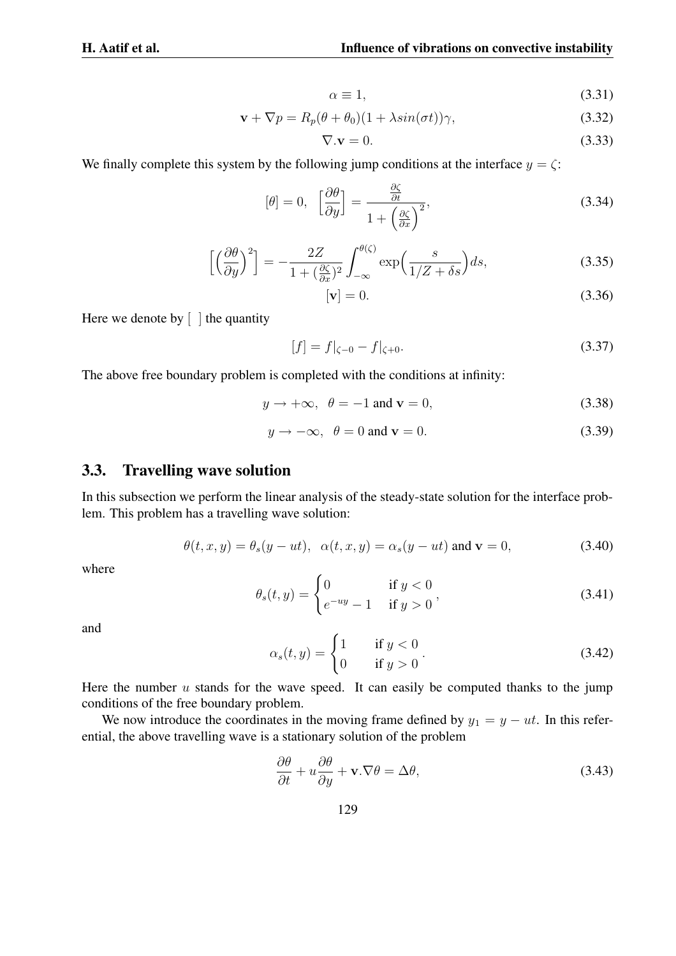$$
\alpha \equiv 1,\tag{3.31}
$$

$$
\mathbf{v} + \nabla p = R_p(\theta + \theta_0)(1 + \lambda \sin(\sigma t))\gamma,
$$
\n(3.32)

$$
\nabla \cdot \mathbf{v} = 0. \tag{3.33}
$$

We finally complete this system by the following jump conditions at the interface  $y = \zeta$ :

$$
[\theta] = 0, \quad \left[\frac{\partial \theta}{\partial y}\right] = \frac{\frac{\partial \zeta}{\partial t}}{1 + \left(\frac{\partial \zeta}{\partial x}\right)^2},\tag{3.34}
$$

$$
\left[ \left( \frac{\partial \theta}{\partial y} \right)^2 \right] = -\frac{2Z}{1 + \left( \frac{\partial \zeta}{\partial x} \right)^2} \int_{-\infty}^{\theta(\zeta)} \exp\left( \frac{s}{1/Z + \delta s} \right) ds, \tag{3.35}
$$

$$
[\mathbf{v}] = 0. \tag{3.36}
$$

Here we denote by  $\lceil \cdot \rceil$  the quantity

$$
[f] = f|_{\zeta=0} - f|_{\zeta=0}.\tag{3.37}
$$

The above free boundary problem is completed with the conditions at infinity:

$$
y \to +\infty, \ \theta = -1 \text{ and } \mathbf{v} = 0,
$$
 (3.38)

$$
y \to -\infty, \ \theta = 0 \text{ and } \mathbf{v} = 0. \tag{3.39}
$$

### **3.3. Travelling wave solution**

In this subsection we perform the linear analysis of the steady-state solution for the interface problem. This problem has a travelling wave solution:

$$
\theta(t, x, y) = \theta_s(y - ut), \quad \alpha(t, x, y) = \alpha_s(y - ut) \text{ and } \mathbf{v} = 0,
$$
\n(3.40)

where

$$
\theta_s(t, y) = \begin{cases} 0 & \text{if } y < 0 \\ e^{-uy} - 1 & \text{if } y > 0 \end{cases}
$$
 (3.41)

and

$$
\alpha_s(t, y) = \begin{cases} 1 & \text{if } y < 0 \\ 0 & \text{if } y > 0 \end{cases} \tag{3.42}
$$

Here the number  $u$  stands for the wave speed. It can easily be computed thanks to the jump conditions of the free boundary problem.

We now introduce the coordinates in the moving frame defined by  $y_1 = y - ut$ . In this referential, the above travelling wave is a stationary solution of the problem

$$
\frac{\partial \theta}{\partial t} + u \frac{\partial \theta}{\partial y} + \mathbf{v}.\nabla \theta = \Delta \theta, \tag{3.43}
$$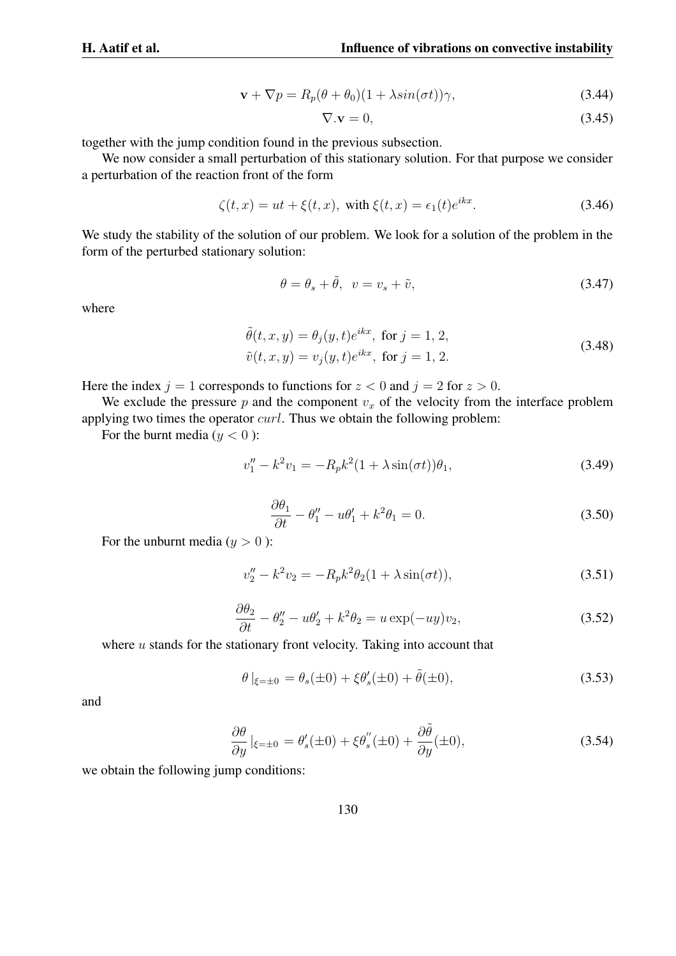$$
\mathbf{v} + \nabla p = R_p(\theta + \theta_0)(1 + \lambda \sin(\sigma t))\gamma,
$$
\n(3.44)

$$
\nabla \mathbf{.} \mathbf{v} = 0,\tag{3.45}
$$

together with the jump condition found in the previous subsection.

We now consider a small perturbation of this stationary solution. For that purpose we consider a perturbation of the reaction front of the form

$$
\zeta(t, x) = ut + \xi(t, x), \text{ with } \xi(t, x) = \epsilon_1(t)e^{ikx}.
$$
 (3.46)

We study the stability of the solution of our problem. We look for a solution of the problem in the form of the perturbed stationary solution:

$$
\theta = \theta_s + \tilde{\theta}, \quad v = v_s + \tilde{v}, \tag{3.47}
$$

where

$$
\tilde{\theta}(t, x, y) = \theta_j(y, t)e^{ikx}, \text{ for } j = 1, 2,
$$
  

$$
\tilde{v}(t, x, y) = v_j(y, t)e^{ikx}, \text{ for } j = 1, 2.
$$
\n(3.48)

Here the index  $j = 1$  corresponds to functions for  $z < 0$  and  $j = 2$  for  $z > 0$ .

We exclude the pressure  $p$  and the component  $v_x$  of the velocity from the interface problem applying two times the operator  $curl$ . Thus we obtain the following problem:

For the burnt media  $(y < 0)$ :

$$
v_1'' - k^2 v_1 = -R_p k^2 (1 + \lambda \sin(\sigma t)) \theta_1,
$$
\n(3.49)

$$
\frac{\partial \theta_1}{\partial t} - \theta_1'' - u\theta_1' + k^2 \theta_1 = 0. \tag{3.50}
$$

For the unburnt media  $(y > 0)$ :

$$
v''_2 - k^2 v_2 = -R_p k^2 \theta_2 (1 + \lambda \sin(\sigma t)), \tag{3.51}
$$

$$
\frac{\partial \theta_2}{\partial t} - \theta_2'' - u\theta_2' + k^2 \theta_2 = u \exp(-uy)v_2,
$$
\n(3.52)

where  $u$  stands for the stationary front velocity. Taking into account that

$$
\theta |_{\xi = \pm 0} = \theta_s(\pm 0) + \xi \theta'_s(\pm 0) + \tilde{\theta}(\pm 0),
$$
\n(3.53)

and

$$
\frac{\partial \theta}{\partial y}\Big|_{\xi=\pm 0} = \theta'_s(\pm 0) + \xi \theta''_s(\pm 0) + \frac{\partial \tilde{\theta}}{\partial y}(\pm 0),\tag{3.54}
$$

we obtain the following jump conditions: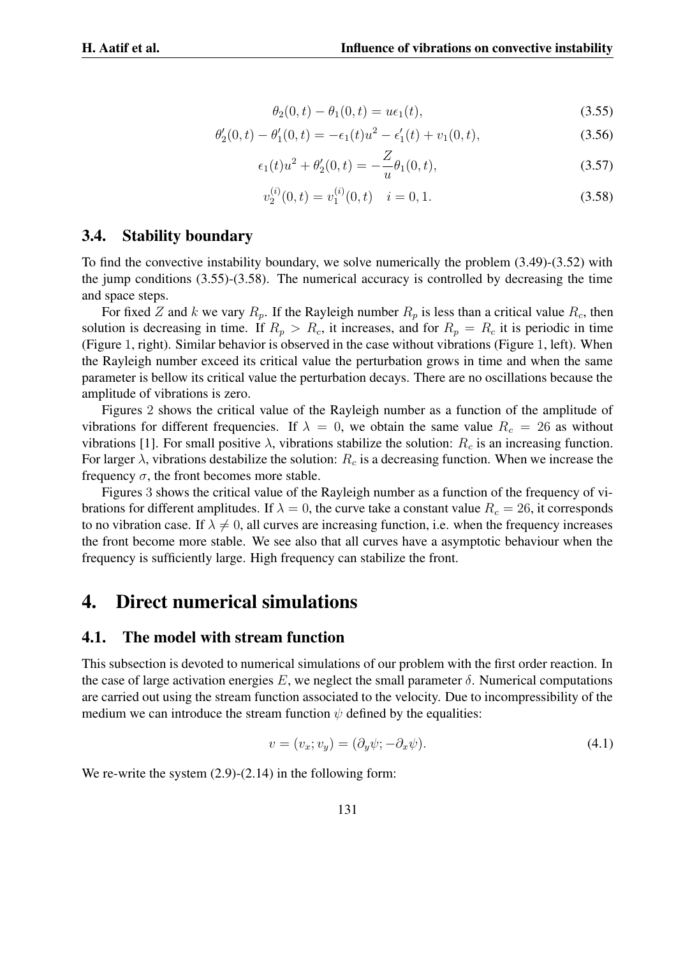$$
\theta_2(0, t) - \theta_1(0, t) = u\epsilon_1(t),
$$
\n(3.55)

$$
\theta_2'(0,t) - \theta_1'(0,t) = -\epsilon_1(t)u^2 - \epsilon_1'(t) + v_1(0,t),\tag{3.56}
$$

$$
\epsilon_1(t)u^2 + \theta_2'(0,t) = -\frac{Z}{u}\theta_1(0,t),\tag{3.57}
$$

$$
v_2^{(i)}(0,t) = v_1^{(i)}(0,t) \quad i = 0, 1. \tag{3.58}
$$

#### **3.4. Stability boundary**

To find the convective instability boundary, we solve numerically the problem (3.49)-(3.52) with the jump conditions (3.55)-(3.58). The numerical accuracy is controlled by decreasing the time and space steps.

For fixed Z and k we vary  $R_p$ . If the Rayleigh number  $R_p$  is less than a critical value  $R_c$ , then solution is decreasing in time. If  $R_p > R_c$ , it increases, and for  $R_p = R_c$  it is periodic in time (Figure 1, right). Similar behavior is observed in the case without vibrations (Figure 1, left). When the Rayleigh number exceed its critical value the perturbation grows in time and when the same parameter is bellow its critical value the perturbation decays. There are no oscillations because the amplitude of vibrations is zero.

Figures 2 shows the critical value of the Rayleigh number as a function of the amplitude of vibrations for different frequencies. If  $\lambda = 0$ , we obtain the same value  $R_c = 26$  as without vibrations [1]. For small positive  $\lambda$ , vibrations stabilize the solution:  $R_c$  is an increasing function. For larger  $\lambda$ , vibrations destabilize the solution:  $R_c$  is a decreasing function. When we increase the frequency  $\sigma$ , the front becomes more stable.

Figures 3 shows the critical value of the Rayleigh number as a function of the frequency of vibrations for different amplitudes. If  $\lambda = 0$ , the curve take a constant value  $R_c = 26$ , it corresponds to no vibration case. If  $\lambda \neq 0$ , all curves are increasing function, i.e. when the frequency increases the front become more stable. We see also that all curves have a asymptotic behaviour when the frequency is sufficiently large. High frequency can stabilize the front.

## **4. Direct numerical simulations**

#### **4.1. The model with stream function**

This subsection is devoted to numerical simulations of our problem with the first order reaction. In the case of large activation energies  $E$ , we neglect the small parameter  $\delta$ . Numerical computations are carried out using the stream function associated to the velocity. Due to incompressibility of the medium we can introduce the stream function  $\psi$  defined by the equalities:

$$
v = (v_x; v_y) = (\partial_y \psi; -\partial_x \psi). \tag{4.1}
$$

We re-write the system  $(2.9)$ - $(2.14)$  in the following form: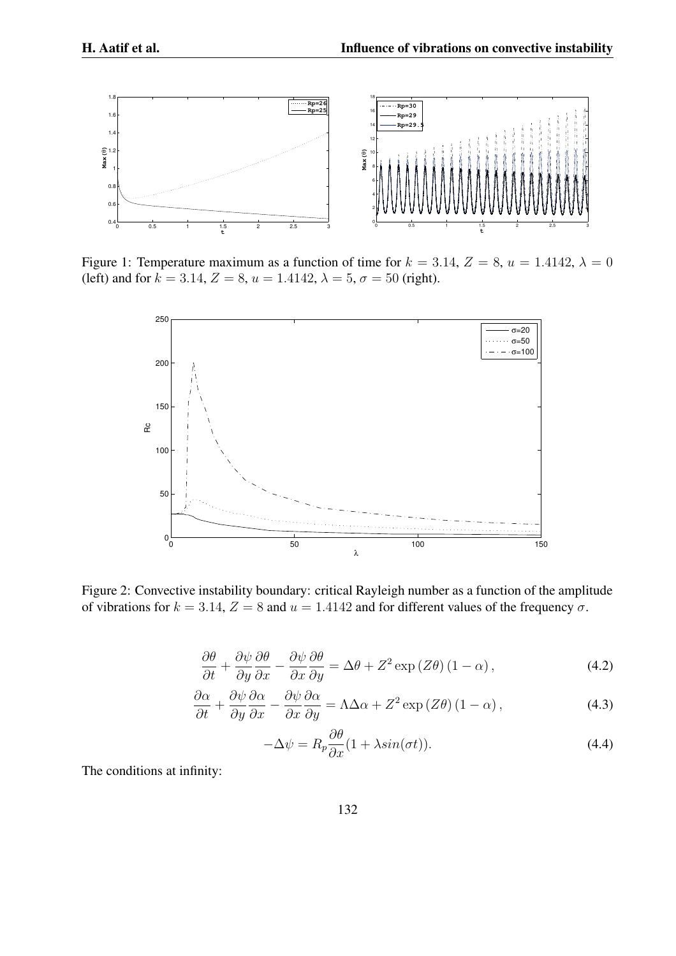

Figure 1: Temperature maximum as a function of time for  $k = 3.14$ ,  $Z = 8$ ,  $u = 1.4142$ ,  $\lambda = 0$ (left) and for  $k = 3.14$ ,  $Z = 8$ ,  $u = 1.4142$ ,  $\lambda = 5$ ,  $\sigma = 50$  (right).



Figure 2: Convective instability boundary: critical Rayleigh number as a function of the amplitude of vibrations for  $k = 3.14$ ,  $Z = 8$  and  $u = 1.4142$  and for different values of the frequency  $\sigma$ .

$$
\frac{\partial \theta}{\partial t} + \frac{\partial \psi}{\partial y} \frac{\partial \theta}{\partial x} - \frac{\partial \psi}{\partial x} \frac{\partial \theta}{\partial y} = \Delta \theta + Z^2 \exp(Z\theta) (1 - \alpha), \qquad (4.2)
$$

$$
\frac{\partial \alpha}{\partial t} + \frac{\partial \psi}{\partial y} \frac{\partial \alpha}{\partial x} - \frac{\partial \psi}{\partial x} \frac{\partial \alpha}{\partial y} = \Lambda \Delta \alpha + Z^2 \exp(Z\theta) (1 - \alpha), \qquad (4.3)
$$

$$
-\Delta \psi = R_p \frac{\partial \theta}{\partial x} (1 + \lambda \sin(\sigma t)).
$$
\n(4.4)

The conditions at infinity: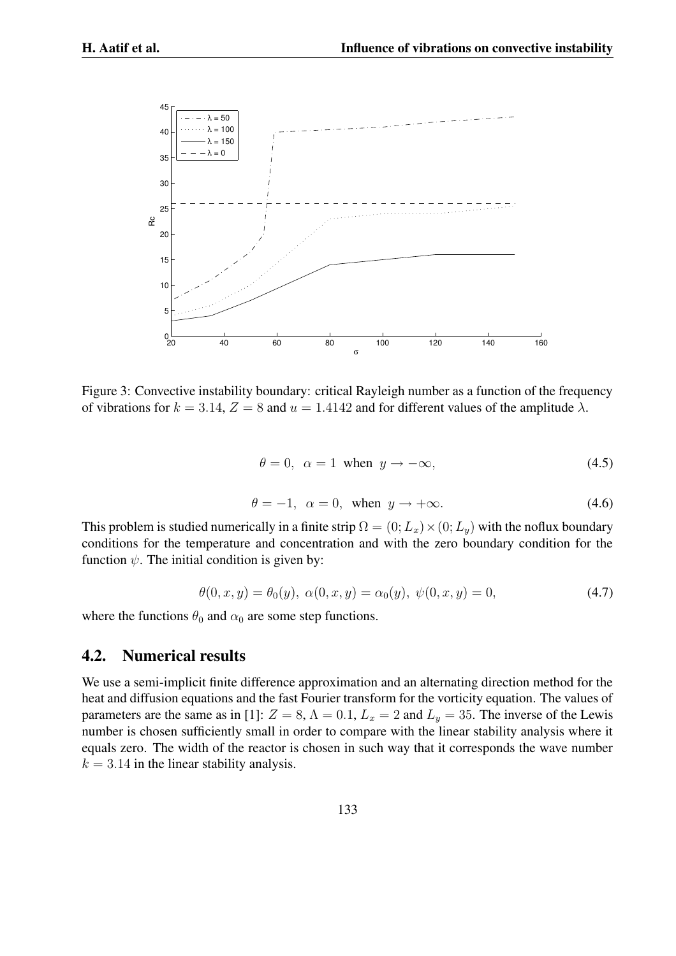

Figure 3: Convective instability boundary: critical Rayleigh number as a function of the frequency of vibrations for  $k = 3.14$ ,  $Z = 8$  and  $u = 1.4142$  and for different values of the amplitude  $\lambda$ .

$$
\theta = 0, \ \alpha = 1 \text{ when } y \to -\infty,
$$
\n(4.5)

$$
\theta = -1, \ \alpha = 0, \text{ when } y \to +\infty. \tag{4.6}
$$

This problem is studied numerically in a finite strip  $\Omega = (0;L_x) \times (0;L_y)$  with the noflux boundary conditions for the temperature and concentration and with the zero boundary condition for the function  $\psi$ . The initial condition is given by:

$$
\theta(0, x, y) = \theta_0(y), \ \alpha(0, x, y) = \alpha_0(y), \ \psi(0, x, y) = 0,\tag{4.7}
$$

where the functions  $\theta_0$  and  $\alpha_0$  are some step functions.

### **4.2. Numerical results**

We use a semi-implicit finite difference approximation and an alternating direction method for the heat and diffusion equations and the fast Fourier transform for the vorticity equation. The values of parameters are the same as in [1]:  $Z = 8$ ,  $\Lambda = 0.1$ ,  $L_x = 2$  and  $L_y = 35$ . The inverse of the Lewis number is chosen sufficiently small in order to compare with the linear stability analysis where it equals zero. The width of the reactor is chosen in such way that it corresponds the wave number  $k = 3.14$  in the linear stability analysis.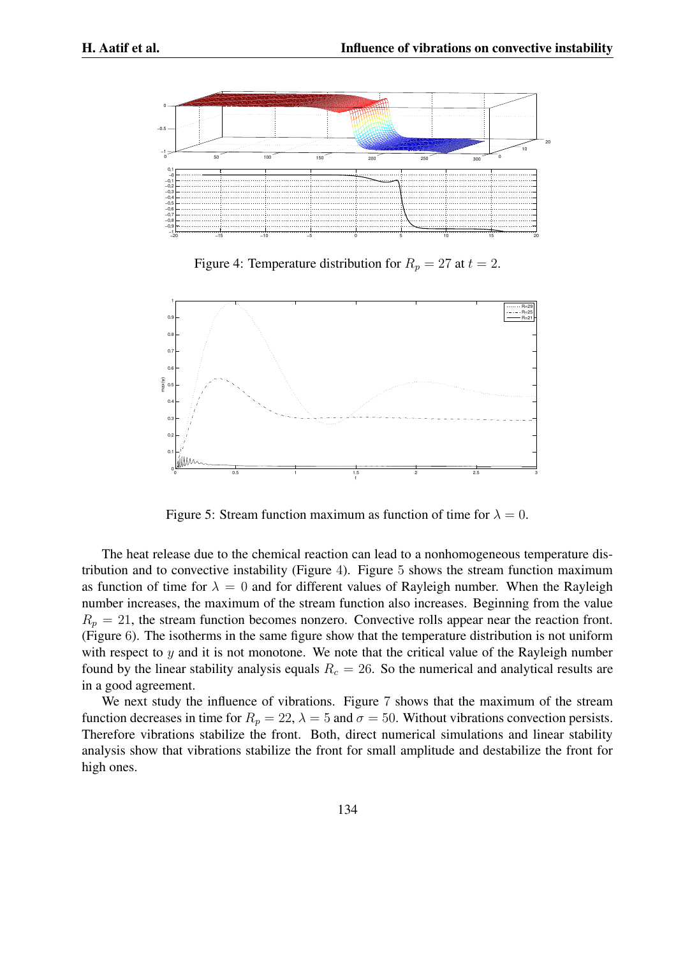

Figure 4: Temperature distribution for  $R_p = 27$  at  $t = 2$ .



Figure 5: Stream function maximum as function of time for  $\lambda = 0$ .

The heat release due to the chemical reaction can lead to a nonhomogeneous temperature distribution and to convective instability (Figure 4). Figure 5 shows the stream function maximum as function of time for  $\lambda = 0$  and for different values of Rayleigh number. When the Rayleigh number increases, the maximum of the stream function also increases. Beginning from the value  $R_p = 21$ , the stream function becomes nonzero. Convective rolls appear near the reaction front. (Figure 6). The isotherms in the same figure show that the temperature distribution is not uniform with respect to  $y$  and it is not monotone. We note that the critical value of the Rayleigh number found by the linear stability analysis equals  $R_c = 26$ . So the numerical and analytical results are in a good agreement.

We next study the influence of vibrations. Figure 7 shows that the maximum of the stream function decreases in time for  $R_p = 22$ ,  $\lambda = 5$  and  $\sigma = 50$ . Without vibrations convection persists. Therefore vibrations stabilize the front. Both, direct numerical simulations and linear stability analysis show that vibrations stabilize the front for small amplitude and destabilize the front for high ones.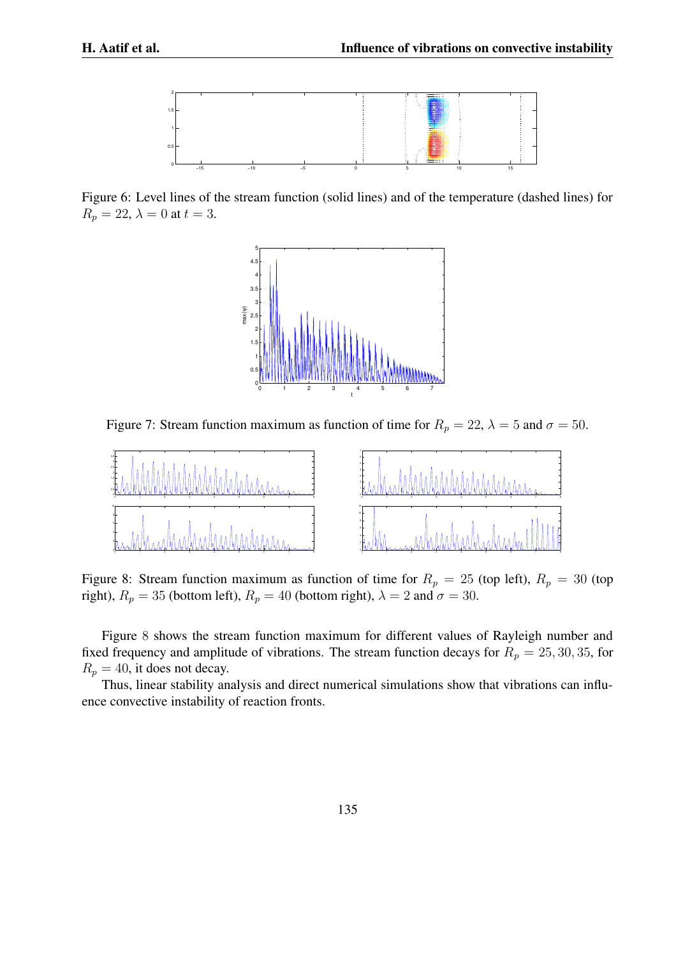

Figure 6: Level lines of the stream function (solid lines) and of the temperature (dashed lines) for  $R_p = 22$ ,  $\lambda = 0$  at  $t = 3$ .



Figure 7: Stream function maximum as function of time for  $R_p = 22$ ,  $\lambda = 5$  and  $\sigma = 50$ .



Figure 8: Stream function maximum as function of time for  $R_p = 25$  (top left),  $R_p = 30$  (top right),  $R_p = 35$  (bottom left),  $R_p = 40$  (bottom right),  $\lambda = 2$  and  $\sigma = 30$ .

Figure 8 shows the stream function maximum for different values of Rayleigh number and fixed frequency and amplitude of vibrations. The stream function decays for  $R_p = 25, 30, 35,$  for  $R_p = 40$ , it does not decay.

Thus, linear stability analysis and direct numerical simulations show that vibrations can influence convective instability of reaction fronts.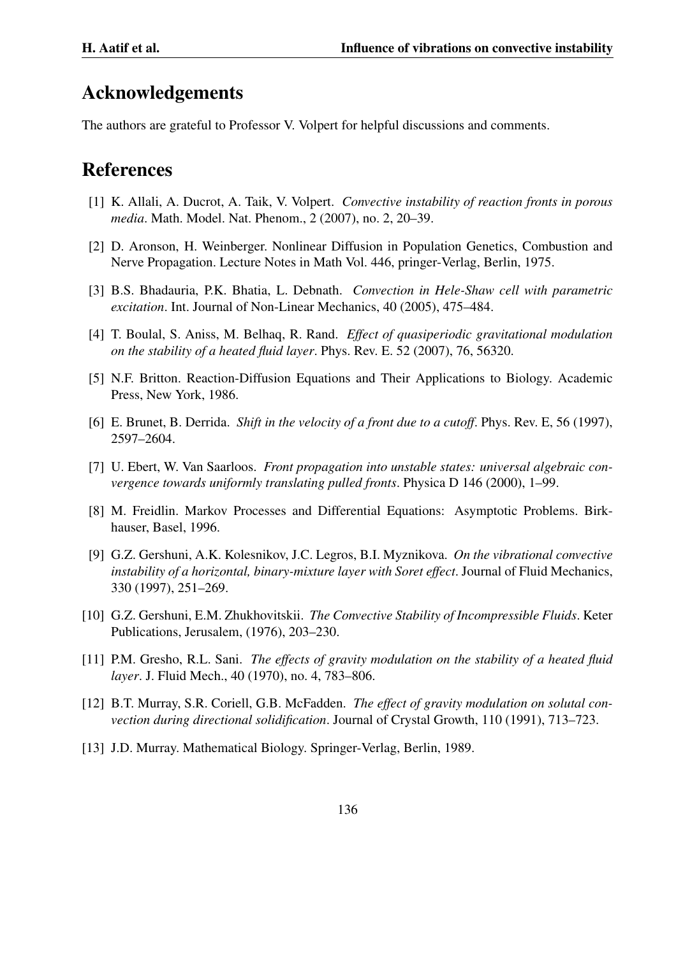## **Acknowledgements**

The authors are grateful to Professor V. Volpert for helpful discussions and comments.

# **References**

- [1] K. Allali, A. Ducrot, A. Taik, V. Volpert. *Convective instability of reaction fronts in porous media*. Math. Model. Nat. Phenom., 2 (2007), no. 2, 20–39.
- [2] D. Aronson, H. Weinberger. Nonlinear Diffusion in Population Genetics, Combustion and Nerve Propagation. Lecture Notes in Math Vol. 446, pringer-Verlag, Berlin, 1975.
- [3] B.S. Bhadauria, P.K. Bhatia, L. Debnath. *Convection in Hele-Shaw cell with parametric excitation*. Int. Journal of Non-Linear Mechanics, 40 (2005), 475–484.
- [4] T. Boulal, S. Aniss, M. Belhaq, R. Rand. *Effect of quasiperiodic gravitational modulation on the stability of a heated fluid layer*. Phys. Rev. E. 52 (2007), 76, 56320.
- [5] N.F. Britton. Reaction-Diffusion Equations and Their Applications to Biology. Academic Press, New York, 1986.
- [6] E. Brunet, B. Derrida. *Shift in the velocity of a front due to a cutoff*. Phys. Rev. E, 56 (1997), 2597–2604.
- [7] U. Ebert, W. Van Saarloos. *Front propagation into unstable states: universal algebraic convergence towards uniformly translating pulled fronts*. Physica D 146 (2000), 1–99.
- [8] M. Freidlin. Markov Processes and Differential Equations: Asymptotic Problems. Birkhauser, Basel, 1996.
- [9] G.Z. Gershuni, A.K. Kolesnikov, J.C. Legros, B.I. Myznikova. *On the vibrational convective instability of a horizontal, binary-mixture layer with Soret effect*. Journal of Fluid Mechanics, 330 (1997), 251–269.
- [10] G.Z. Gershuni, E.M. Zhukhovitskii. *The Convective Stability of Incompressible Fluids*. Keter Publications, Jerusalem, (1976), 203–230.
- [11] P.M. Gresho, R.L. Sani. *The effects of gravity modulation on the stability of a heated fluid layer*. J. Fluid Mech., 40 (1970), no. 4, 783–806.
- [12] B.T. Murray, S.R. Coriell, G.B. McFadden. *The effect of gravity modulation on solutal convection during directional solidification*. Journal of Crystal Growth, 110 (1991), 713–723.
- [13] J.D. Murray. Mathematical Biology. Springer-Verlag, Berlin, 1989.